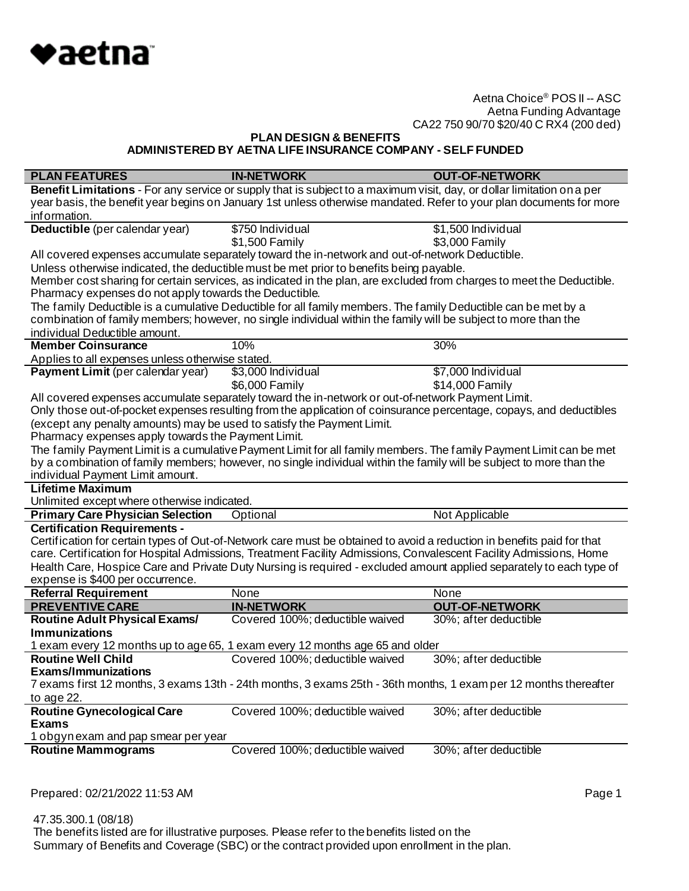

**PLAN DESIGN & BENEFITS**

**ADMINISTERED BY AETNA LIFE INSURANCE COMPANY - SELF FUNDED**

| <b>PLAN FEATURES</b>                                                   | <b>IN-NETWORK</b>                                                                                                      | <b>OUT-OF-NETWORK</b> |
|------------------------------------------------------------------------|------------------------------------------------------------------------------------------------------------------------|-----------------------|
|                                                                        | Benefit Limitations - For any service or supply that is subject to a maximum visit, day, or dollar limitation on a per |                       |
|                                                                        | year basis, the benefit year begins on January 1st unless otherwise mandated. Refer to your plan documents for more    |                       |
| information.                                                           |                                                                                                                        |                       |
| Deductible (per calendar year)                                         | \$750 Individual                                                                                                       | \$1,500 Individual    |
|                                                                        | \$1,500 Family                                                                                                         | \$3,000 Family        |
|                                                                        | All covered expenses accumulate separately toward the in-network and out-of-network Deductible.                        |                       |
|                                                                        | Unless otherwise indicated, the deductible must be met prior to benefits being payable.                                |                       |
|                                                                        | Member cost sharing for certain services, as indicated in the plan, are excluded from charges to meet the Deductible.  |                       |
| Pharmacy expenses do not apply towards the Deductible.                 |                                                                                                                        |                       |
|                                                                        | The family Deductible is a cumulative Deductible for all family members. The family Deductible can be met by a         |                       |
|                                                                        | combination of family members; however, no single individual within the family will be subject to more than the        |                       |
| individual Deductible amount.                                          |                                                                                                                        |                       |
| <b>Member Coinsurance</b>                                              | 10%                                                                                                                    | 30%                   |
| Applies to all expenses unless otherwise stated.                       |                                                                                                                        |                       |
| Payment Limit (per calendar year)                                      | \$3,000 Individual                                                                                                     | \$7,000 Individual    |
|                                                                        | \$6,000 Family                                                                                                         | \$14,000 Family       |
|                                                                        | All covered expenses accumulate separately toward the in-network or out-of-network Payment Limit.                      |                       |
|                                                                        | Only those out-of-pocket expenses resulting from the application of coinsurance percentage, copays, and deductibles    |                       |
| (except any penalty amounts) may be used to satisfy the Payment Limit. |                                                                                                                        |                       |
| Pharmacy expenses apply towards the Payment Limit.                     |                                                                                                                        |                       |
|                                                                        | The family Payment Limit is a cumulative Payment Limit for all family members. The family Payment Limit can be met     |                       |
|                                                                        | by a combination of family members; however, no single individual within the family will be subject to more than the   |                       |
| individual Payment Limit amount.                                       |                                                                                                                        |                       |
| <b>Lifetime Maximum</b>                                                |                                                                                                                        |                       |
| Unlimited except where otherwise indicated.                            |                                                                                                                        |                       |
| <b>Primary Care Physician Selection</b>                                | Optional                                                                                                               | Not Applicable        |
| <b>Certification Requirements -</b>                                    |                                                                                                                        |                       |
|                                                                        | Certification for certain types of Out-of-Network care must be obtained to avoid a reduction in benefits paid for that |                       |
|                                                                        | care. Certification for Hospital Admissions, Treatment Facility Admissions, Convalescent Facility Admissions, Home     |                       |
|                                                                        | Health Care, Hospice Care and Private Duty Nursing is required - excluded amount applied separately to each type of    |                       |
| expense is \$400 per occurrence.                                       |                                                                                                                        |                       |
| <b>Referral Requirement</b>                                            | None                                                                                                                   | None                  |
| <b>PREVENTIVE CARE</b>                                                 | <b>IN-NETWORK</b>                                                                                                      | <b>OUT-OF-NETWORK</b> |
| <b>Routine Adult Physical Exams/</b>                                   | Covered 100%; deductible waived                                                                                        | 30%; after deductible |
| <b>Immunizations</b>                                                   |                                                                                                                        |                       |
|                                                                        | 1 exam every 12 months up to age 65, 1 exam every 12 months age 65 and older                                           |                       |
| <b>Routine Well Child</b>                                              | Covered 100%; deductible waived                                                                                        | 30%; after deductible |
| <b>Fxams/Immunizations</b>                                             |                                                                                                                        |                       |
|                                                                        | 7 exams first 12 months, 3 exams 13th - 24th months, 3 exams 25th - 36th months, 1 exam per 12 months thereafter       |                       |
| to age 22.                                                             |                                                                                                                        |                       |
| <b>Routine Gynecological Care</b>                                      | Covered 100%; deductible waived                                                                                        | 30%; after deductible |
| <b>Exams</b>                                                           |                                                                                                                        |                       |
| 1 obgynexam and pap smear per year                                     |                                                                                                                        |                       |
| <b>Routine Mammograms</b>                                              | Covered 100%; deductible waived                                                                                        | 30%; after deductible |
|                                                                        |                                                                                                                        |                       |

Prepared: 02/21/2022 11:53 AM **Page 1**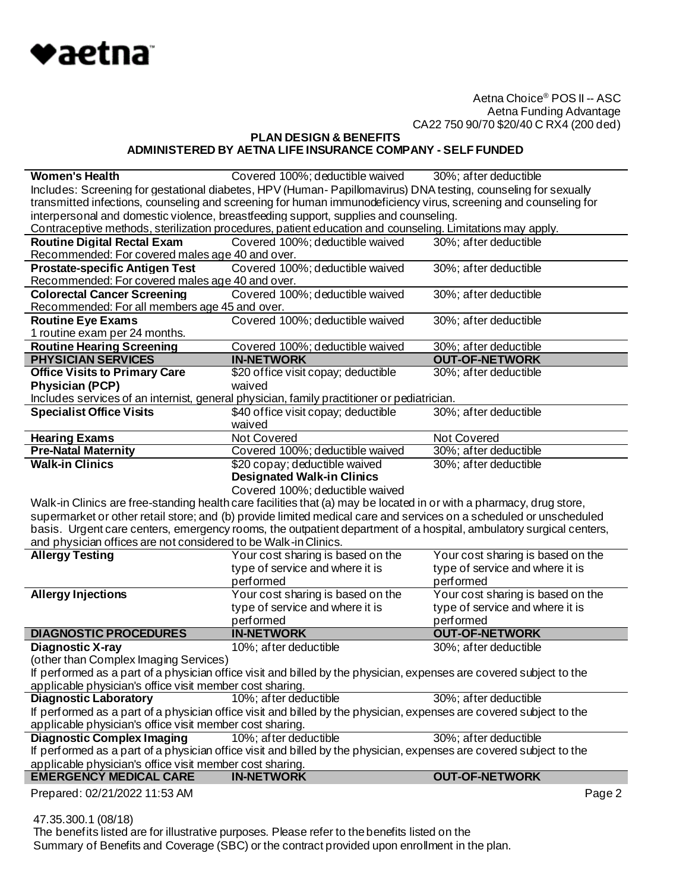

**PLAN DESIGN & BENEFITS ADMINISTERED BY AETNA LIFE INSURANCE COMPANY - SELF FUNDED**

| <b>Women's Health</b>                                                                                           | Covered 100%; deductible waived                                                                                     | 30%; after deductible             |
|-----------------------------------------------------------------------------------------------------------------|---------------------------------------------------------------------------------------------------------------------|-----------------------------------|
|                                                                                                                 | Includes: Screening for gestational diabetes, HPV (Human-Papillomavirus) DNA testing, counseling for sexually       |                                   |
| transmitted infections, counseling and screening for human immunodeficiency virus, screening and counseling for |                                                                                                                     |                                   |
|                                                                                                                 | interpersonal and domestic violence, breastfeeding support, supplies and counseling.                                |                                   |
|                                                                                                                 | Contraceptive methods, sterilization procedures, patient education and counseling. Limitations may apply.           |                                   |
| <b>Routine Digital Rectal Exam</b>                                                                              | Covered 100%; deductible waived                                                                                     | 30%; after deductible             |
| Recommended: For covered males age 40 and over.                                                                 |                                                                                                                     |                                   |
| <b>Prostate-specific Antigen Test</b>                                                                           | Covered 100%; deductible waived                                                                                     | 30%; after deductible             |
| Recommended: For covered males age 40 and over.                                                                 |                                                                                                                     |                                   |
| <b>Colorectal Cancer Screening</b>                                                                              | Covered 100%; deductible waived                                                                                     | 30%; after deductible             |
| Recommended: For all members age 45 and over.                                                                   |                                                                                                                     |                                   |
| <b>Routine Eye Exams</b>                                                                                        | Covered 100%; deductible waived                                                                                     | 30%; after deductible             |
| 1 routine exam per 24 months.                                                                                   |                                                                                                                     |                                   |
| <b>Routine Hearing Screening</b>                                                                                | Covered 100%; deductible waived                                                                                     | 30%; after deductible             |
| <b>PHYSICIAN SERVICES</b>                                                                                       | <b>IN-NETWORK</b>                                                                                                   | <b>OUT-OF-NETWORK</b>             |
| <b>Office Visits to Primary Care</b>                                                                            | \$20 office visit copay; deductible                                                                                 | 30%; after deductible             |
| <b>Physician (PCP)</b>                                                                                          | waived                                                                                                              |                                   |
|                                                                                                                 | Includes services of an internist, general physician, family practitioner or pediatrician.                          |                                   |
| <b>Specialist Office Visits</b>                                                                                 | \$40 office visit copay; deductible                                                                                 | 30%; after deductible             |
|                                                                                                                 | waived                                                                                                              |                                   |
| <b>Hearing Exams</b>                                                                                            | <b>Not Covered</b>                                                                                                  | Not Covered                       |
| <b>Pre-Natal Maternity</b>                                                                                      | Covered 100%; deductible waived                                                                                     | 30%; after deductible             |
| <b>Walk-in Clinics</b>                                                                                          | \$20 copay; deductible waived                                                                                       | 30%; after deductible             |
|                                                                                                                 | <b>Designated Walk-in Clinics</b>                                                                                   |                                   |
|                                                                                                                 |                                                                                                                     |                                   |
|                                                                                                                 |                                                                                                                     |                                   |
|                                                                                                                 | Covered 100%; deductible waived                                                                                     |                                   |
|                                                                                                                 | Walk-in Clinics are free-standing health care facilities that (a) may be located in or with a pharmacy, drug store, |                                   |
|                                                                                                                 | supermarket or other retail store; and (b) provide limited medical care and services on a scheduled or unscheduled  |                                   |
|                                                                                                                 | basis. Urgent care centers, emergency rooms, the outpatient department of a hospital, ambulatory surgical centers,  |                                   |
| and physician offices are not considered to be Walk-in Clinics.                                                 |                                                                                                                     |                                   |
| <b>Allergy Testing</b>                                                                                          | Your cost sharing is based on the                                                                                   | Your cost sharing is based on the |
|                                                                                                                 | type of service and where it is                                                                                     | type of service and where it is   |
|                                                                                                                 | performed                                                                                                           | performed                         |
| <b>Allergy Injections</b>                                                                                       | Your cost sharing is based on the                                                                                   | Your cost sharing is based on the |
|                                                                                                                 | type of service and where it is                                                                                     | type of service and where it is   |
|                                                                                                                 | performed                                                                                                           | performed                         |
| <b>DIAGNOSTIC PROCEDURES</b>                                                                                    | <b>IN-NETWORK</b>                                                                                                   | <b>OUT-OF-NETWORK</b>             |
| <b>Diagnostic X-ray</b>                                                                                         | 10%; after deductible                                                                                               | 30%; after deductible             |
| (other than Complex Imaging Services)                                                                           |                                                                                                                     |                                   |
|                                                                                                                 | If performed as a part of a physician office visit and billed by the physician, expenses are covered subject to the |                                   |
| applicable physician's office visit member cost sharing.                                                        |                                                                                                                     |                                   |
| <b>Diagnostic Laboratory</b>                                                                                    | 10%; after deductible                                                                                               | 30%; after deductible             |
|                                                                                                                 | If performed as a part of a physician office visit and billed by the physician, expenses are covered subject to the |                                   |
| applicable physician's office visit member cost sharing.                                                        |                                                                                                                     |                                   |
| <b>Diagnostic Complex Imaging</b>                                                                               | 10%; after deductible                                                                                               | 30%; after deductible             |
|                                                                                                                 | If performed as a part of a physician office visit and billed by the physician, expenses are covered subject to the |                                   |
| applicable physician's office visit member cost sharing.                                                        |                                                                                                                     |                                   |
| <b>EMERGENCY MEDICAL CARE</b><br>Prepared: 02/21/2022 11:53 AM                                                  | <b>IN-NETWORK</b>                                                                                                   | <b>OUT-OF-NETWORK</b><br>Page 2   |

47.35.300.1 (08/18)

 The benefits listed are for illustrative purposes. Please refer to the benefits listed on the Summary of Benefits and Coverage (SBC) or the contract provided upon enrollment in the plan.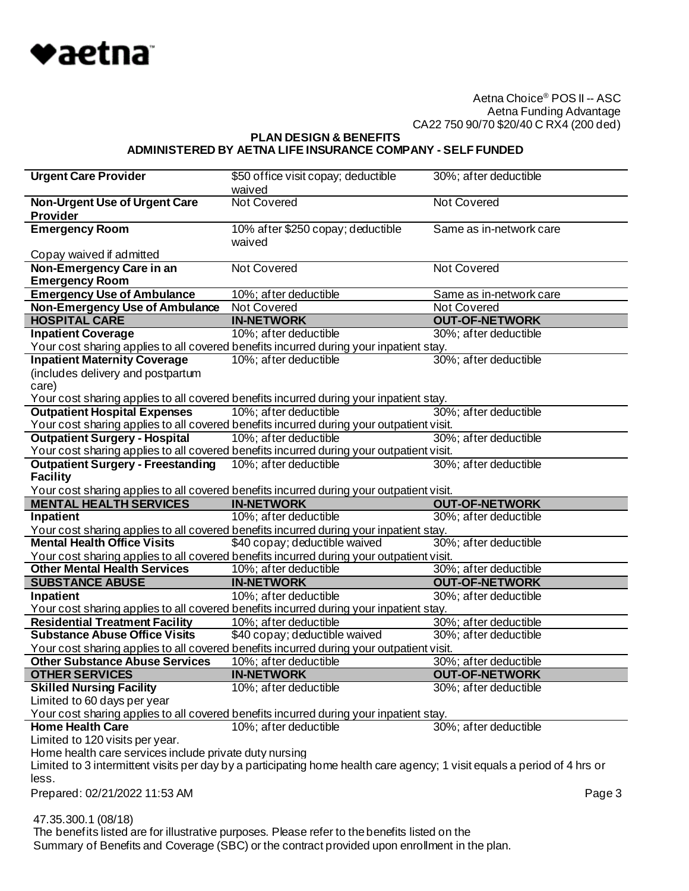

**PLAN DESIGN & BENEFITS**

# **ADMINISTERED BY AETNA LIFE INSURANCE COMPANY - SELF FUNDED**

| <b>Urgent Care Provider</b>                                                              | \$50 office visit copay; deductible                                                                                      | 30%; after deductible   |        |
|------------------------------------------------------------------------------------------|--------------------------------------------------------------------------------------------------------------------------|-------------------------|--------|
|                                                                                          | waived                                                                                                                   |                         |        |
| <b>Non-Urgent Use of Urgent Care</b>                                                     | <b>Not Covered</b>                                                                                                       | <b>Not Covered</b>      |        |
| <b>Provider</b>                                                                          |                                                                                                                          |                         |        |
| <b>Emergency Room</b>                                                                    | 10% after \$250 copay; deductible                                                                                        | Same as in-network care |        |
|                                                                                          | waived                                                                                                                   |                         |        |
| Copay waived if admitted                                                                 |                                                                                                                          |                         |        |
| Non-Emergency Care in an                                                                 | <b>Not Covered</b>                                                                                                       | <b>Not Covered</b>      |        |
| <b>Emergency Room</b>                                                                    |                                                                                                                          |                         |        |
| <b>Emergency Use of Ambulance</b>                                                        | 10%; after deductible                                                                                                    | Same as in-network care |        |
| <b>Non-Emergency Use of Ambulance</b>                                                    | Not Covered                                                                                                              | Not Covered             |        |
| <b>HOSPITAL CARE</b>                                                                     | <b>IN-NETWORK</b>                                                                                                        | <b>OUT-OF-NETWORK</b>   |        |
| <b>Inpatient Coverage</b>                                                                | 10%; after deductible                                                                                                    | 30%; after deductible   |        |
|                                                                                          | Your cost sharing applies to all covered benefits incurred during your inpatient stay.                                   |                         |        |
| <b>Inpatient Maternity Coverage</b>                                                      | 10%; after deductible                                                                                                    | 30%; after deductible   |        |
| (includes delivery and postpartum                                                        |                                                                                                                          |                         |        |
| care)                                                                                    |                                                                                                                          |                         |        |
|                                                                                          | Your cost sharing applies to all covered benefits incurred during your inpatient stay.                                   |                         |        |
| <b>Outpatient Hospital Expenses</b>                                                      | 10%; after deductible                                                                                                    | 30%; after deductible   |        |
| Your cost sharing applies to all covered benefits incurred during your outpatient visit. |                                                                                                                          |                         |        |
| <b>Outpatient Surgery - Hospital</b>                                                     | 10%; after deductible                                                                                                    | 30%; after deductible   |        |
| Your cost sharing applies to all covered benefits incurred during your outpatient visit. |                                                                                                                          |                         |        |
| <b>Outpatient Surgery - Freestanding</b>                                                 | 10%; after deductible                                                                                                    | 30%; after deductible   |        |
| <b>Facility</b>                                                                          |                                                                                                                          |                         |        |
|                                                                                          | Your cost sharing applies to all covered benefits incurred during your outpatient visit.                                 |                         |        |
|                                                                                          |                                                                                                                          |                         |        |
| <b>MENTAL HEALTH SERVICES</b>                                                            | <b>IN-NETWORK</b>                                                                                                        | <b>OUT-OF-NETWORK</b>   |        |
| Inpatient                                                                                | 10%; after deductible                                                                                                    | 30%; after deductible   |        |
| Your cost sharing applies to all covered benefits incurred during your inpatient stay.   |                                                                                                                          |                         |        |
| <b>Mental Health Office Visits</b>                                                       | \$40 copay; deductible waived                                                                                            | 30%; after deductible   |        |
|                                                                                          | Your cost sharing applies to all covered benefits incurred during your outpatient visit.                                 |                         |        |
| <b>Other Mental Health Services</b>                                                      | 10%; after deductible                                                                                                    | 30%; after deductible   |        |
| <b>SUBSTANCE ABUSE</b>                                                                   | <b>IN-NETWORK</b>                                                                                                        | <b>OUT-OF-NETWORK</b>   |        |
| Inpatient                                                                                | 10%; after deductible                                                                                                    | 30%; after deductible   |        |
| Your cost sharing applies to all covered benefits incurred during your inpatient stay.   |                                                                                                                          |                         |        |
| <b>Residential Treatment Facility</b>                                                    | 10%; after deductible                                                                                                    | 30%; after deductible   |        |
| <b>Substance Abuse Office Visits</b>                                                     | \$40 copay; deductible waived                                                                                            | 30%; after deductible   |        |
| Your cost sharing applies to all covered benefits incurred during your outpatient visit. |                                                                                                                          |                         |        |
| <b>Other Substance Abuse Services</b>                                                    | 10%; after deductible                                                                                                    | 30%; after deductible   |        |
| <b>OTHER SERVICES</b>                                                                    | <b>IN-NETWORK</b>                                                                                                        | <b>OUT-OF-NETWORK</b>   |        |
| <b>Skilled Nursing Facility</b>                                                          | 10%; after deductible                                                                                                    | 30%; after deductible   |        |
| Limited to 60 days per year                                                              |                                                                                                                          |                         |        |
| Your cost sharing applies to all covered benefits incurred during your inpatient stay.   |                                                                                                                          |                         |        |
| <b>Home Health Care</b>                                                                  | 10%; after deductible                                                                                                    | 30%; after deductible   |        |
| Limited to 120 visits per year.                                                          |                                                                                                                          |                         |        |
| Home health care services include private duty nursing                                   |                                                                                                                          |                         |        |
|                                                                                          | Limited to 3 intermittent visits per day by a participating home health care agency; 1 visit equals a period of 4 hrs or |                         |        |
| less.                                                                                    |                                                                                                                          |                         |        |
| Prepared: 02/21/2022 11:53 AM                                                            |                                                                                                                          |                         | Page 3 |
|                                                                                          |                                                                                                                          |                         |        |
| 47.35.300.1 (08/18)                                                                      |                                                                                                                          |                         |        |

Summary of Benefits and Coverage (SBC) or the contract provided upon enrollment in the plan.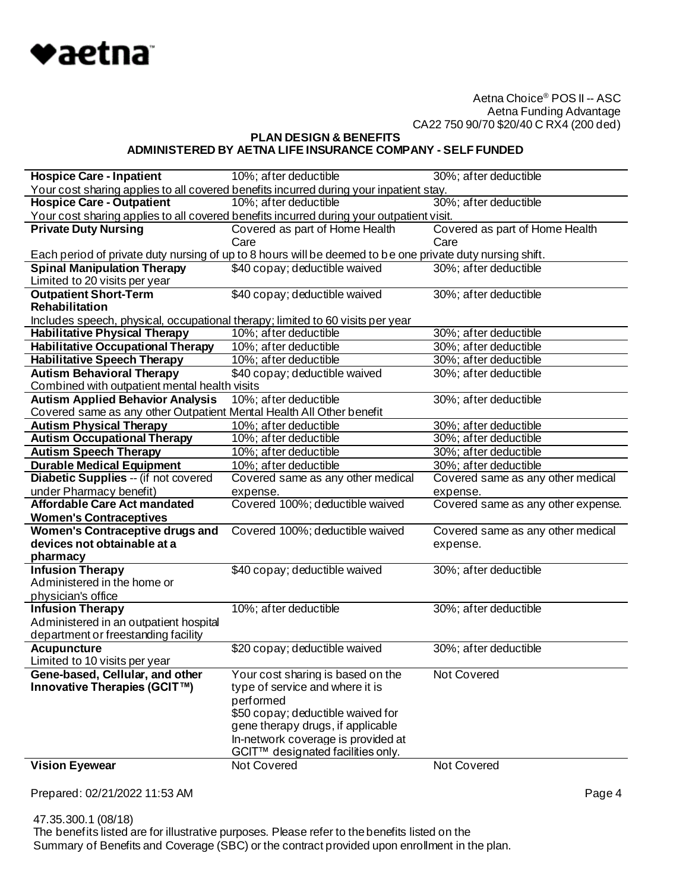

**PLAN DESIGN & BENEFITS**

# **ADMINISTERED BY AETNA LIFE INSURANCE COMPANY - SELF FUNDED**

| <b>Hospice Care - Inpatient</b>                                                | 10%; after deductible                                                                                     | 30%; after deductible              |
|--------------------------------------------------------------------------------|-----------------------------------------------------------------------------------------------------------|------------------------------------|
|                                                                                | Your cost sharing applies to all covered benefits incurred during your inpatient stay.                    |                                    |
| <b>Hospice Care - Outpatient</b>                                               | 10%; after deductible                                                                                     | 30%; after deductible              |
|                                                                                | Your cost sharing applies to all covered benefits incurred during your outpatient visit.                  |                                    |
| <b>Private Duty Nursing</b>                                                    | Covered as part of Home Health                                                                            | Covered as part of Home Health     |
|                                                                                | Care                                                                                                      | Care                               |
|                                                                                | Each period of private duty nursing of up to 8 hours will be deemed to be one private duty nursing shift. |                                    |
| <b>Spinal Manipulation Therapy</b>                                             | \$40 copay; deductible waived                                                                             | 30%; after deductible              |
| Limited to 20 visits per year                                                  |                                                                                                           |                                    |
| <b>Outpatient Short-Term</b>                                                   | \$40 copay; deductible waived                                                                             | 30%; after deductible              |
| <b>Rehabilitation</b>                                                          |                                                                                                           |                                    |
| Includes speech, physical, occupational therapy; limited to 60 visits per year |                                                                                                           |                                    |
| <b>Habilitative Physical Therapy</b>                                           | 10%; after deductible                                                                                     | 30%; after deductible              |
| <b>Habilitative Occupational Therapy</b>                                       | 10%; after deductible                                                                                     | 30%; after deductible              |
| <b>Habilitative Speech Therapy</b>                                             | 10%; after deductible                                                                                     | 30%; after deductible              |
| <b>Autism Behavioral Therapy</b>                                               | \$40 copay; deductible waived                                                                             | 30%; after deductible              |
| Combined with outpatient mental health visits                                  |                                                                                                           |                                    |
| <b>Autism Applied Behavior Analysis</b>                                        | 10%; after deductible                                                                                     | 30%; after deductible              |
| Covered same as any other Outpatient Mental Health All Other benefit           |                                                                                                           |                                    |
| <b>Autism Physical Therapy</b>                                                 | 10%; after deductible                                                                                     | 30%; after deductible              |
| <b>Autism Occupational Therapy</b>                                             | 10%; after deductible                                                                                     | 30%; after deductible              |
| <b>Autism Speech Therapy</b>                                                   | 10%; after deductible                                                                                     | 30%; after deductible              |
| <b>Durable Medical Equipment</b>                                               | 10%; after deductible                                                                                     | 30%; after deductible              |
| Diabetic Supplies -- (if not covered                                           |                                                                                                           | Covered same as any other medical  |
|                                                                                | Covered same as any other medical                                                                         |                                    |
| under Pharmacy benefit)                                                        | expense.                                                                                                  | expense.                           |
| Affordable Care Act mandated                                                   | Covered 100%; deductible waived                                                                           | Covered same as any other expense. |
| <b>Women's Contraceptives</b>                                                  |                                                                                                           |                                    |
| Women's Contraceptive drugs and                                                | Covered 100%; deductible waived                                                                           | Covered same as any other medical  |
| devices not obtainable at a                                                    |                                                                                                           | expense.                           |
| pharmacy                                                                       |                                                                                                           |                                    |
| <b>Infusion Therapy</b>                                                        | \$40 copay; deductible waived                                                                             | 30%; after deductible              |
| Administered in the home or                                                    |                                                                                                           |                                    |
| physician's office                                                             |                                                                                                           |                                    |
| <b>Infusion Therapy</b>                                                        | 10%; after deductible                                                                                     | 30%; after deductible              |
| Administered in an outpatient hospital                                         |                                                                                                           |                                    |
| department or freestanding facility                                            |                                                                                                           |                                    |
| <b>Acupuncture</b>                                                             | \$20 copay; deductible waived                                                                             | 30%; after deductible              |
| Limited to 10 visits per year                                                  |                                                                                                           |                                    |
| Gene-based, Cellular, and other                                                | Your cost sharing is based on the                                                                         | <b>Not Covered</b>                 |
| Innovative Therapies (GCIT™)                                                   | type of service and where it is                                                                           |                                    |
|                                                                                | performed                                                                                                 |                                    |
|                                                                                | \$50 copay; deductible waived for                                                                         |                                    |
|                                                                                | gene therapy drugs, if applicable                                                                         |                                    |
|                                                                                | In-network coverage is provided at                                                                        |                                    |
| <b>Vision Eyewear</b>                                                          | GCIT™ designated facilities only.<br>Not Covered                                                          | Not Covered                        |

Prepared: 02/21/2022 11:53 AM Page 4

 47.35.300.1 (08/18) The benefits listed are for illustrative purposes. Please refer to the benefits listed on the Summary of Benefits and Coverage (SBC) or the contract provided upon enrollment in the plan.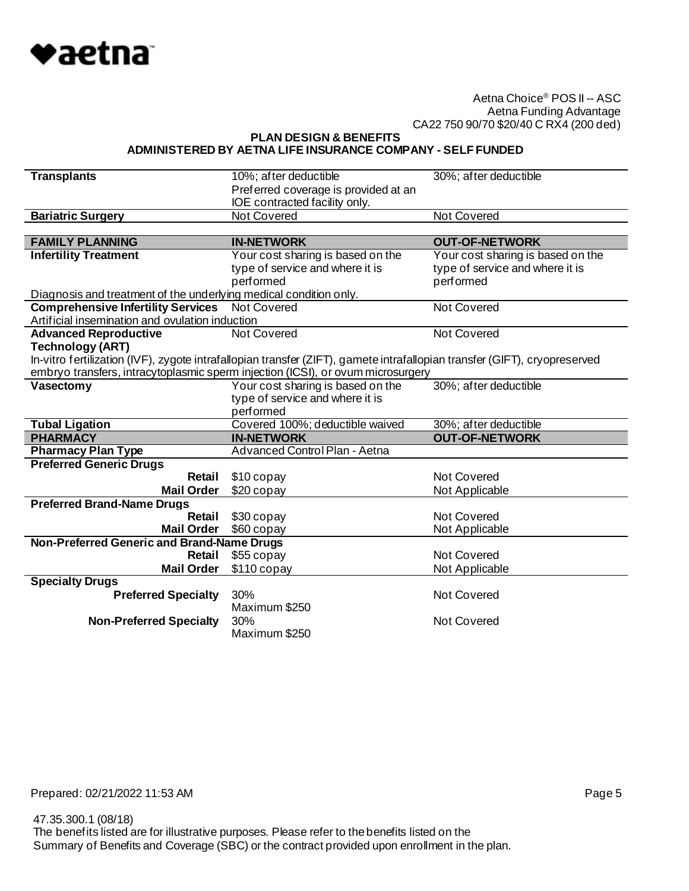

**PLAN DESIGN & BENEFITS**

#### **ADMINISTERED BY AETNA LIFE INSURANCE COMPANY - SELF FUNDED**

| <b>Transplants</b>                                                | 10%; after deductible                                                                                                     | 30%; after deductible             |
|-------------------------------------------------------------------|---------------------------------------------------------------------------------------------------------------------------|-----------------------------------|
|                                                                   | Preferred coverage is provided at an<br>IOE contracted facility only.                                                     |                                   |
| <b>Bariatric Surgery</b>                                          | <b>Not Covered</b>                                                                                                        | <b>Not Covered</b>                |
|                                                                   |                                                                                                                           |                                   |
| <b>FAMILY PLANNING</b>                                            | <b>IN-NETWORK</b>                                                                                                         | <b>OUT-OF-NETWORK</b>             |
| <b>Infertility Treatment</b>                                      | Your cost sharing is based on the                                                                                         | Your cost sharing is based on the |
|                                                                   | type of service and where it is                                                                                           | type of service and where it is   |
|                                                                   | performed                                                                                                                 | performed                         |
| Diagnosis and treatment of the underlying medical condition only. |                                                                                                                           |                                   |
| <b>Comprehensive Infertility Services</b>                         | <b>Not Covered</b>                                                                                                        | <b>Not Covered</b>                |
| Artificial insemination and ovulation induction                   |                                                                                                                           |                                   |
| <b>Advanced Reproductive</b>                                      | Not Covered                                                                                                               | <b>Not Covered</b>                |
| <b>Technology (ART)</b>                                           |                                                                                                                           |                                   |
|                                                                   | In-vitro fertilization (IVF), zygote intrafallopian transfer (ZIFT), gamete intrafallopian transfer (GIFT), cryopreserved |                                   |
|                                                                   | embryo transfers, intracytoplasmic sperm injection (ICSI), or ovum microsurgery                                           |                                   |
| Vasectomy                                                         | Your cost sharing is based on the                                                                                         | 30%; after deductible             |
|                                                                   | type of service and where it is<br>performed                                                                              |                                   |
| <b>Tubal Ligation</b>                                             | Covered 100%; deductible waived                                                                                           | 30%; after deductible             |
|                                                                   |                                                                                                                           |                                   |
|                                                                   |                                                                                                                           |                                   |
| <b>PHARMACY</b>                                                   | <b>IN-NETWORK</b><br>Advanced Control Plan - Aetna                                                                        | <b>OUT-OF-NETWORK</b>             |
| <b>Pharmacy Plan Type</b><br><b>Preferred Generic Drugs</b>       |                                                                                                                           |                                   |
| Retail                                                            | \$10 copay                                                                                                                | Not Covered                       |
| <b>Mail Order</b>                                                 | $$20$ copay                                                                                                               | Not Applicable                    |
| <b>Preferred Brand-Name Drugs</b>                                 |                                                                                                                           |                                   |
| Retail                                                            | \$30 copay                                                                                                                | Not Covered                       |
| <b>Mail Order</b>                                                 | \$60 copay                                                                                                                | Not Applicable                    |
| Non-Preferred Generic and Brand-Name Drugs                        |                                                                                                                           |                                   |
| Retail                                                            | \$55 copay                                                                                                                | <b>Not Covered</b>                |
| <b>Mail Order</b>                                                 | $$110$ copay                                                                                                              | Not Applicable                    |
| <b>Specialty Drugs</b>                                            |                                                                                                                           |                                   |
| <b>Preferred Specialty</b>                                        | 30%                                                                                                                       | Not Covered                       |
|                                                                   | Maximum \$250                                                                                                             |                                   |
| <b>Non-Preferred Specialty</b>                                    | 30%<br>Maximum \$250                                                                                                      | Not Covered                       |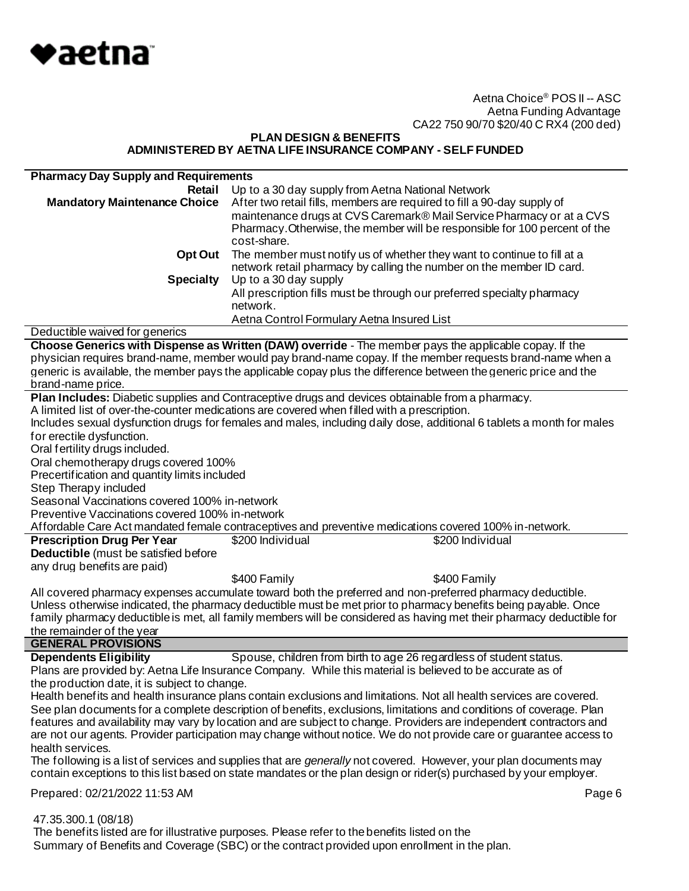

## **PLAN DESIGN & BENEFITS ADMINISTERED BY AETNA LIFE INSURANCE COMPANY - SELF FUNDED**

| <b>Pharmacy Day Supply and Requirements</b>     |                                                                                                                          |
|-------------------------------------------------|--------------------------------------------------------------------------------------------------------------------------|
| Retail                                          | Up to a 30 day supply from Aetna National Network                                                                        |
| <b>Mandatory Maintenance Choice</b>             | After two retail fills, members are required to fill a 90-day supply of                                                  |
|                                                 | maintenance drugs at CVS Caremark® Mail Service Pharmacy or at a CVS                                                     |
|                                                 | Pharmacy. Otherwise, the member will be responsible for 100 percent of the                                               |
|                                                 | cost-share.                                                                                                              |
|                                                 |                                                                                                                          |
| <b>Opt Out</b>                                  | The member must notify us of whether they want to continue to fill at a                                                  |
|                                                 | network retail pharmacy by calling the number on the member ID card.                                                     |
| <b>Specialty</b>                                | Up to a 30 day supply                                                                                                    |
|                                                 | All prescription fills must be through our preferred specialty pharmacy                                                  |
|                                                 | network.                                                                                                                 |
|                                                 | Aetna Control Formulary Aetna Insured List                                                                               |
| Deductible waived for generics                  |                                                                                                                          |
|                                                 | Choose Generics with Dispense as Written (DAW) override - The member pays the applicable copay. If the                   |
|                                                 | physician requires brand-name, member would pay brand-name copay. If the member requests brand-name when a               |
|                                                 | generic is available, the member pays the applicable copay plus the difference between the generic price and the         |
| brand-name price.                               |                                                                                                                          |
|                                                 | Plan Includes: Diabetic supplies and Contraceptive drugs and devices obtainable from a pharmacy.                         |
|                                                 | A limited list of over-the-counter medications are covered when filled with a prescription.                              |
|                                                 | Includes sexual dysfunction drugs for females and males, including daily dose, additional 6 tablets a month for males    |
| for erectile dysfunction.                       |                                                                                                                          |
| Oral fertility drugs included.                  |                                                                                                                          |
| Oral chemotherapy drugs covered 100%            |                                                                                                                          |
| Precertification and quantity limits included   |                                                                                                                          |
| Step Therapy included                           |                                                                                                                          |
| Seasonal Vaccinations covered 100% in-network   |                                                                                                                          |
|                                                 |                                                                                                                          |
| Preventive Vaccinations covered 100% in-network |                                                                                                                          |
|                                                 | Affordable Care Act mandated female contraceptives and preventive medications covered 100% in-network.                   |
| <b>Prescription Drug Per Year</b>               | \$200 Individual<br>\$200 Individual                                                                                     |
| Deductible (must be satisfied before            |                                                                                                                          |
| any drug benefits are paid)                     |                                                                                                                          |
|                                                 | \$400 Family<br>\$400 Family                                                                                             |
|                                                 | All covered pharmacy expenses accumulate toward both the preferred and non-preferred pharmacy deductible.                |
|                                                 | Unless otherwise indicated, the pharmacy deductible must be met prior to pharmacy benefits being payable. Once           |
|                                                 | family pharmacy deductible is met, all family members will be considered as having met their pharmacy deductible for     |
| the remainder of the year                       |                                                                                                                          |
| <b>GENERAL PROVISIONS</b>                       |                                                                                                                          |
| <b>Dependents Eligibility</b>                   | Spouse, children from birth to age 26 regardless of student status.                                                      |
|                                                 | Plans are provided by: Aetna Life Insurance Company. While this material is believed to be accurate as of                |
| the production date, it is subject to change.   |                                                                                                                          |
|                                                 | Health benefits and health insurance plans contain exclusions and limitations. Not all health services are covered.      |
|                                                 | See plan documents for a complete description of benefits, exclusions, limitations and conditions of coverage. Plan      |
|                                                 | features and availability may vary by location and are subject to change. Providers are independent contractors and      |
|                                                 | are not our agents. Provider participation may change without notice. We do not provide care or guarantee access to      |
| health services.                                |                                                                                                                          |
|                                                 | The following is a list of services and supplies that are <i>generally</i> not covered. However, your plan documents may |
|                                                 | contain exceptions to this list based on state mandates or the plan design or rider(s) purchased by your employer.       |
|                                                 |                                                                                                                          |
| Prepared: 02/21/2022 11:53 AM                   | Page 6                                                                                                                   |
| 47.35.300.1 (08/18)                             |                                                                                                                          |

 The benefits listed are for illustrative purposes. Please refer to the benefits listed on the Summary of Benefits and Coverage (SBC) or the contract provided upon enrollment in the plan.